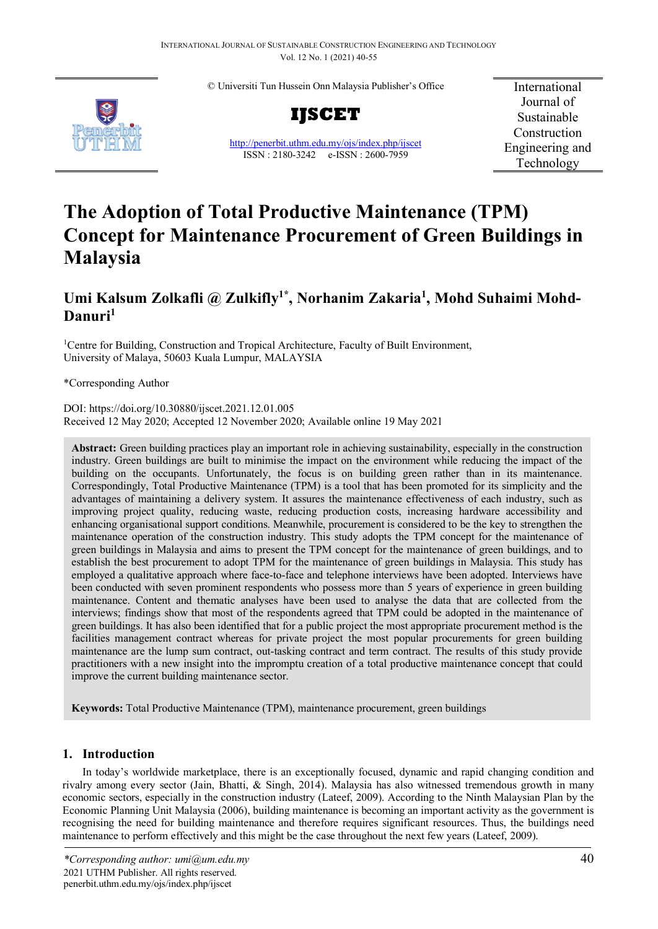© Universiti Tun Hussein Onn Malaysia Publisher's Office



**IJSCET**

<http://penerbit.uthm.edu.my/ojs/index.php/ijscet> ISSN : 2180-3242 e-ISSN : 2600-7959

International Journal of Sustainable Construction Engineering and Technology

# **The Adoption of Total Productive Maintenance (TPM) Concept for Maintenance Procurement of Green Buildings in Malaysia**

# Umi Kalsum Zolkafli @ Zulkifly<sup>1\*</sup>, Norhanim Zakaria<sup>1</sup>, Mohd Suhaimi Mohd-**Danuri1**

<sup>1</sup>Centre for Building, Construction and Tropical Architecture, Faculty of Built Environment, University of Malaya, 50603 Kuala Lumpur, MALAYSIA

\*Corresponding Author

DOI: https://doi.org/10.30880/ijscet.2021.12.01.005 Received 12 May 2020; Accepted 12 November 2020; Available online 19 May 2021

**Abstract:** Green building practices play an important role in achieving sustainability, especially in the construction industry. Green buildings are built to minimise the impact on the environment while reducing the impact of the building on the occupants. Unfortunately, the focus is on building green rather than in its maintenance. Correspondingly, Total Productive Maintenance (TPM) is a tool that has been promoted for its simplicity and the advantages of maintaining a delivery system. It assures the maintenance effectiveness of each industry, such as improving project quality, reducing waste, reducing production costs, increasing hardware accessibility and enhancing organisational support conditions. Meanwhile, procurement is considered to be the key to strengthen the maintenance operation of the construction industry. This study adopts the TPM concept for the maintenance of green buildings in Malaysia and aims to present the TPM concept for the maintenance of green buildings, and to establish the best procurement to adopt TPM for the maintenance of green buildings in Malaysia. This study has employed a qualitative approach where face-to-face and telephone interviews have been adopted. Interviews have been conducted with seven prominent respondents who possess more than 5 years of experience in green building maintenance. Content and thematic analyses have been used to analyse the data that are collected from the interviews; findings show that most of the respondents agreed that TPM could be adopted in the maintenance of green buildings. It has also been identified that for a public project the most appropriate procurement method is the facilities management contract whereas for private project the most popular procurements for green building maintenance are the lump sum contract, out-tasking contract and term contract. The results of this study provide practitioners with a new insight into the impromptu creation of a total productive maintenance concept that could improve the current building maintenance sector.

**Keywords:** Total Productive Maintenance (TPM), maintenance procurement, green buildings

# **1. Introduction**

In today's worldwide marketplace, there is an exceptionally focused, dynamic and rapid changing condition and rivalry among every sector (Jain, Bhatti, & Singh, 2014). Malaysia has also witnessed tremendous growth in many economic sectors, especially in the construction industry (Lateef, 2009). According to the Ninth Malaysian Plan by the Economic Planning Unit Malaysia (2006), building maintenance is becoming an important activity as the government is recognising the need for building maintenance and therefore requires significant resources. Thus, the buildings need maintenance to perform effectively and this might be the case throughout the next few years (Lateef, 2009).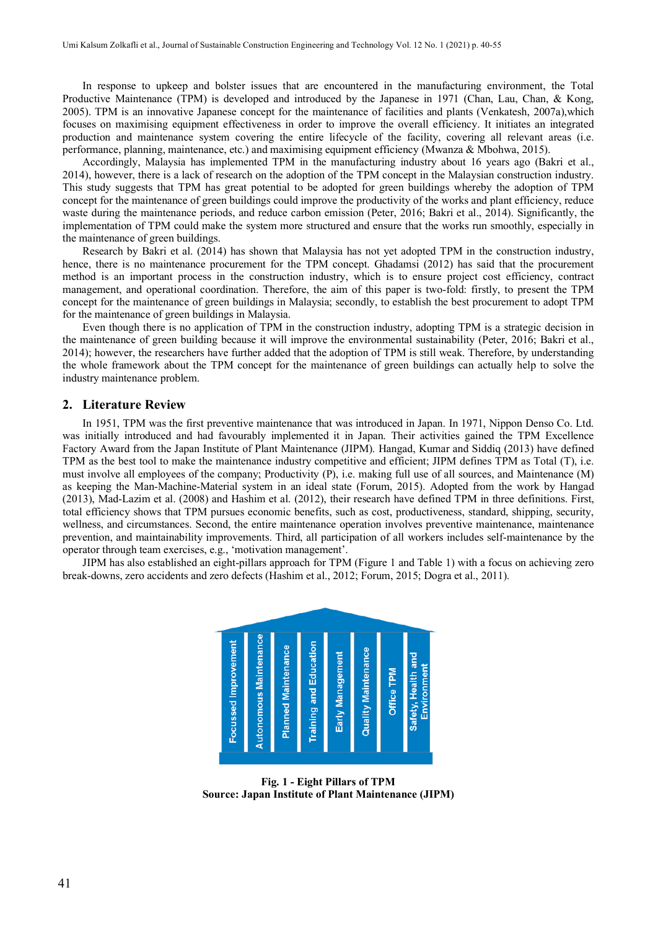In response to upkeep and bolster issues that are encountered in the manufacturing environment, the Total Productive Maintenance (TPM) is developed and introduced by the Japanese in 1971 (Chan, Lau, Chan, & Kong, 2005). TPM is an innovative Japanese concept for the maintenance of facilities and plants (Venkatesh, 2007a),which focuses on maximising equipment effectiveness in order to improve the overall efficiency. It initiates an integrated production and maintenance system covering the entire lifecycle of the facility, covering all relevant areas (i.e. performance, planning, maintenance, etc.) and maximising equipment efficiency (Mwanza & Mbohwa, 2015).

Accordingly, Malaysia has implemented TPM in the manufacturing industry about 16 years ago (Bakri et al., 2014), however, there is a lack of research on the adoption of the TPM concept in the Malaysian construction industry. This study suggests that TPM has great potential to be adopted for green buildings whereby the adoption of TPM concept for the maintenance of green buildings could improve the productivity of the works and plant efficiency, reduce waste during the maintenance periods, and reduce carbon emission (Peter, 2016; Bakri et al., 2014). Significantly, the implementation of TPM could make the system more structured and ensure that the works run smoothly, especially in the maintenance of green buildings.

Research by Bakri et al. (2014) has shown that Malaysia has not yet adopted TPM in the construction industry, hence, there is no maintenance procurement for the TPM concept. Ghadamsi (2012) has said that the procurement method is an important process in the construction industry, which is to ensure project cost efficiency, contract management, and operational coordination. Therefore, the aim of this paper is two-fold: firstly, to present the TPM concept for the maintenance of green buildings in Malaysia; secondly, to establish the best procurement to adopt TPM for the maintenance of green buildings in Malaysia.

Even though there is no application of TPM in the construction industry, adopting TPM is a strategic decision in the maintenance of green building because it will improve the environmental sustainability (Peter, 2016; Bakri et al., 2014); however, the researchers have further added that the adoption of TPM is still weak. Therefore, by understanding the whole framework about the TPM concept for the maintenance of green buildings can actually help to solve the industry maintenance problem.

#### **2. Literature Review**

In 1951, TPM was the first preventive maintenance that was introduced in Japan. In 1971, Nippon Denso Co. Ltd. was initially introduced and had favourably implemented it in Japan. Their activities gained the TPM Excellence Factory Award from the Japan Institute of Plant Maintenance (JIPM). Hangad, Kumar and Siddiq (2013) have defined TPM as the best tool to make the maintenance industry competitive and efficient; JIPM defines TPM as Total (T), i.e. must involve all employees of the company; Productivity (P), i.e. making full use of all sources, and Maintenance (M) as keeping the Man-Machine-Material system in an ideal state (Forum, 2015). Adopted from the work by Hangad (2013), Mad-Lazim et al. (2008) and Hashim et al. (2012), their research have defined TPM in three definitions. First, total efficiency shows that TPM pursues economic benefits, such as cost, productiveness, standard, shipping, security, wellness, and circumstances. Second, the entire maintenance operation involves preventive maintenance, maintenance prevention, and maintainability improvements. Third, all participation of all workers includes self-maintenance by the operator through team exercises, e.g., 'motivation management'.

JIPM has also established an eight-pillars approach for TPM (Figure 1 and Table 1) with a focus on achieving zero break-downs, zero accidents and zero defects (Hashim et al., 2012; Forum, 2015; Dogra et al., 2011).



**Fig. 1 - Eight Pillars of TPM Source: Japan Institute of Plant Maintenance (JIPM)**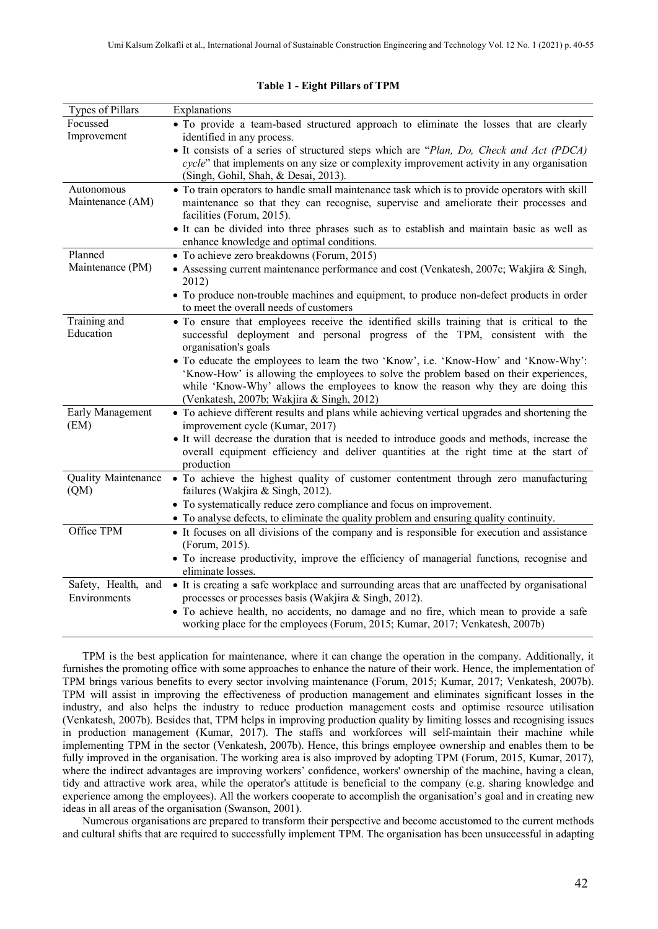| Types of Pillars            | Explanations                                                                                                                                                                                                                                                                                                  |
|-----------------------------|---------------------------------------------------------------------------------------------------------------------------------------------------------------------------------------------------------------------------------------------------------------------------------------------------------------|
| Focussed                    | · To provide a team-based structured approach to eliminate the losses that are clearly                                                                                                                                                                                                                        |
| Improvement                 | identified in any process.                                                                                                                                                                                                                                                                                    |
|                             | • It consists of a series of structured steps which are "Plan, Do, Check and Act (PDCA)                                                                                                                                                                                                                       |
|                             | cycle" that implements on any size or complexity improvement activity in any organisation<br>(Singh, Gohil, Shah, & Desai, 2013).                                                                                                                                                                             |
| Autonomous                  | • To train operators to handle small maintenance task which is to provide operators with skill                                                                                                                                                                                                                |
| Maintenance (AM)            | maintenance so that they can recognise, supervise and ameliorate their processes and<br>facilities (Forum, 2015).                                                                                                                                                                                             |
|                             | • It can be divided into three phrases such as to establish and maintain basic as well as<br>enhance knowledge and optimal conditions.                                                                                                                                                                        |
| Planned                     | • To achieve zero breakdowns (Forum, 2015)                                                                                                                                                                                                                                                                    |
| Maintenance (PM)            | • Assessing current maintenance performance and cost (Venkatesh, 2007c; Wakjira & Singh,<br>2012)                                                                                                                                                                                                             |
|                             | • To produce non-trouble machines and equipment, to produce non-defect products in order<br>to meet the overall needs of customers                                                                                                                                                                            |
| Training and<br>Education   | • To ensure that employees receive the identified skills training that is critical to the<br>successful deployment and personal progress of the TPM, consistent with the<br>organisation's goals                                                                                                              |
|                             | • To educate the employees to learn the two 'Know', i.e. 'Know-How' and 'Know-Why':<br>'Know-How' is allowing the employees to solve the problem based on their experiences,<br>while 'Know-Why' allows the employees to know the reason why they are doing this<br>(Venkatesh, 2007b; Wakjira & Singh, 2012) |
| Early Management<br>(EM)    | • To achieve different results and plans while achieving vertical upgrades and shortening the<br>improvement cycle (Kumar, 2017)                                                                                                                                                                              |
|                             | • It will decrease the duration that is needed to introduce goods and methods, increase the<br>overall equipment efficiency and deliver quantities at the right time at the start of<br>production                                                                                                            |
| Quality Maintenance<br>(QM) | • To achieve the highest quality of customer contentment through zero manufacturing<br>failures (Wakjira & Singh, 2012).                                                                                                                                                                                      |
|                             | • To systematically reduce zero compliance and focus on improvement.                                                                                                                                                                                                                                          |
|                             | • To analyse defects, to eliminate the quality problem and ensuring quality continuity.                                                                                                                                                                                                                       |
| Office TPM                  | • It focuses on all divisions of the company and is responsible for execution and assistance                                                                                                                                                                                                                  |
|                             | (Forum, 2015).                                                                                                                                                                                                                                                                                                |
|                             | • To increase productivity, improve the efficiency of managerial functions, recognise and<br>eliminate losses.                                                                                                                                                                                                |
| Safety, Health, and         | • It is creating a safe workplace and surrounding areas that are unaffected by organisational                                                                                                                                                                                                                 |
| Environments                | processes or processes basis (Wakjira & Singh, 2012).                                                                                                                                                                                                                                                         |
|                             | · To achieve health, no accidents, no damage and no fire, which mean to provide a safe<br>working place for the employees (Forum, 2015; Kumar, 2017; Venkatesh, 2007b)                                                                                                                                        |
|                             |                                                                                                                                                                                                                                                                                                               |

#### **Table 1 - Eight Pillars of TPM**

TPM is the best application for maintenance, where it can change the operation in the company. Additionally, it furnishes the promoting office with some approaches to enhance the nature of their work. Hence, the implementation of TPM brings various benefits to every sector involving maintenance (Forum, 2015; Kumar, 2017; Venkatesh, 2007b). TPM will assist in improving the effectiveness of production management and eliminates significant losses in the industry, and also helps the industry to reduce production management costs and optimise resource utilisation (Venkatesh, 2007b). Besides that, TPM helps in improving production quality by limiting losses and recognising issues in production management (Kumar, 2017). The staffs and workforces will self-maintain their machine while implementing TPM in the sector (Venkatesh, 2007b). Hence, this brings employee ownership and enables them to be fully improved in the organisation. The working area is also improved by adopting TPM (Forum, 2015, Kumar, 2017), where the indirect advantages are improving workers' confidence, workers' ownership of the machine, having a clean, tidy and attractive work area, while the operator's attitude is beneficial to the company (e.g. sharing knowledge and experience among the employees). All the workers cooperate to accomplish the organisation's goal and in creating new ideas in all areas of the organisation (Swanson, 2001).

Numerous organisations are prepared to transform their perspective and become accustomed to the current methods and cultural shifts that are required to successfully implement TPM. The organisation has been unsuccessful in adapting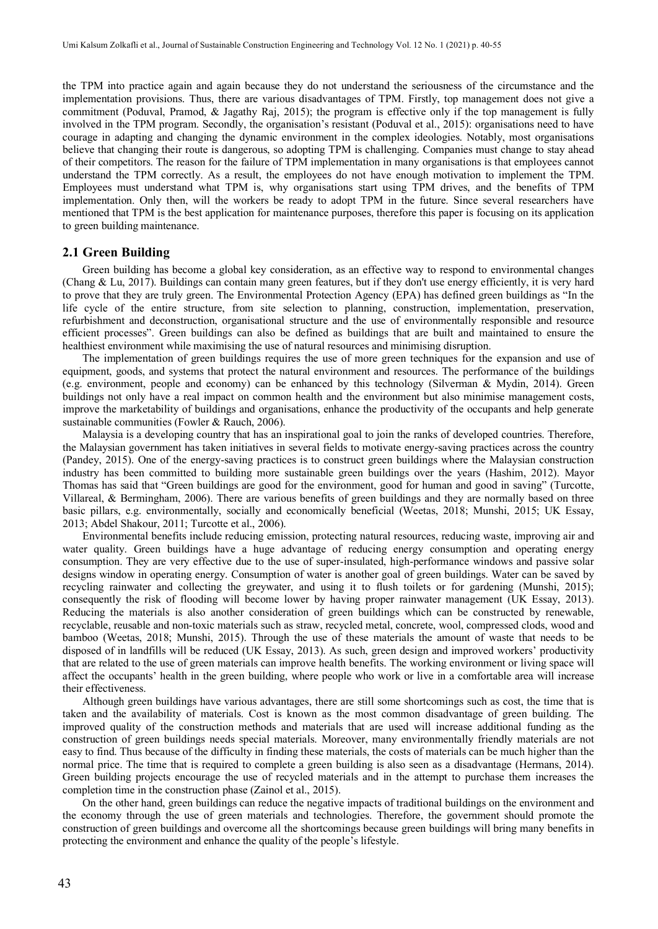the TPM into practice again and again because they do not understand the seriousness of the circumstance and the implementation provisions. Thus, there are various disadvantages of TPM. Firstly, top management does not give a commitment (Poduval, Pramod, & Jagathy Raj, 2015); the program is effective only if the top management is fully involved in the TPM program. Secondly, the organisation's resistant (Poduval et al., 2015): organisations need to have courage in adapting and changing the dynamic environment in the complex ideologies. Notably, most organisations believe that changing their route is dangerous, so adopting TPM is challenging. Companies must change to stay ahead of their competitors. The reason for the failure of TPM implementation in many organisations is that employees cannot understand the TPM correctly. As a result, the employees do not have enough motivation to implement the TPM. Employees must understand what TPM is, why organisations start using TPM drives, and the benefits of TPM implementation. Only then, will the workers be ready to adopt TPM in the future. Since several researchers have mentioned that TPM is the best application for maintenance purposes, therefore this paper is focusing on its application to green building maintenance.

#### **2.1 Green Building**

Green building has become a global key consideration, as an effective way to respond to environmental changes (Chang & Lu, 2017). Buildings can contain many green features, but if they don't use energy efficiently, it is very hard to prove that they are truly green. The Environmental Protection Agency (EPA) has defined green buildings as "In the life cycle of the entire structure, from site selection to planning, construction, implementation, preservation, refurbishment and deconstruction, organisational structure and the use of environmentally responsible and resource efficient processes". Green buildings can also be defined as buildings that are built and maintained to ensure the healthiest environment while maximising the use of natural resources and minimising disruption.

The implementation of green buildings requires the use of more green techniques for the expansion and use of equipment, goods, and systems that protect the natural environment and resources. The performance of the buildings (e.g. environment, people and economy) can be enhanced by this technology (Silverman & Mydin, 2014). Green buildings not only have a real impact on common health and the environment but also minimise management costs, improve the marketability of buildings and organisations, enhance the productivity of the occupants and help generate sustainable communities (Fowler & Rauch, 2006).

Malaysia is a developing country that has an inspirational goal to join the ranks of developed countries. Therefore, the Malaysian government has taken initiatives in several fields to motivate energy-saving practices across the country (Pandey, 2015). One of the energy-saving practices is to construct green buildings where the Malaysian construction industry has been committed to building more sustainable green buildings over the years (Hashim, 2012). Mayor Thomas has said that "Green buildings are good for the environment, good for human and good in saving" (Turcotte, Villareal, & Bermingham, 2006). There are various benefits of green buildings and they are normally based on three basic pillars, e.g. environmentally, socially and economically beneficial (Weetas, 2018; Munshi, 2015; UK Essay, 2013; Abdel Shakour, 2011; Turcotte et al., 2006).

Environmental benefits include reducing emission, protecting natural resources, reducing waste, improving air and water quality. Green buildings have a huge advantage of reducing energy consumption and operating energy consumption. They are very effective due to the use of super-insulated, high-performance windows and passive solar designs window in operating energy. Consumption of water is another goal of green buildings. Water can be saved by recycling rainwater and collecting the greywater, and using it to flush toilets or for gardening (Munshi, 2015); consequently the risk of flooding will become lower by having proper rainwater management (UK Essay, 2013). Reducing the materials is also another consideration of green buildings which can be constructed by renewable, recyclable, reusable and non-toxic materials such as straw, recycled metal, concrete, wool, compressed clods, wood and bamboo (Weetas, 2018; Munshi, 2015). Through the use of these materials the amount of waste that needs to be disposed of in landfills will be reduced (UK Essay, 2013). As such, green design and improved workers' productivity that are related to the use of green materials can improve health benefits. The working environment or living space will affect the occupants' health in the green building, where people who work or live in a comfortable area will increase their effectiveness.

Although green buildings have various advantages, there are still some shortcomings such as cost, the time that is taken and the availability of materials. Cost is known as the most common disadvantage of green building. The improved quality of the construction methods and materials that are used will increase additional funding as the construction of green buildings needs special materials. Moreover, many environmentally friendly materials are not easy to find. Thus because of the difficulty in finding these materials, the costs of materials can be much higher than the normal price. The time that is required to complete a green building is also seen as a disadvantage (Hermans, 2014). Green building projects encourage the use of recycled materials and in the attempt to purchase them increases the completion time in the construction phase (Zainol et al., 2015).

On the other hand, green buildings can reduce the negative impacts of traditional buildings on the environment and the economy through the use of green materials and technologies. Therefore, the government should promote the construction of green buildings and overcome all the shortcomings because green buildings will bring many benefits in protecting the environment and enhance the quality of the people's lifestyle.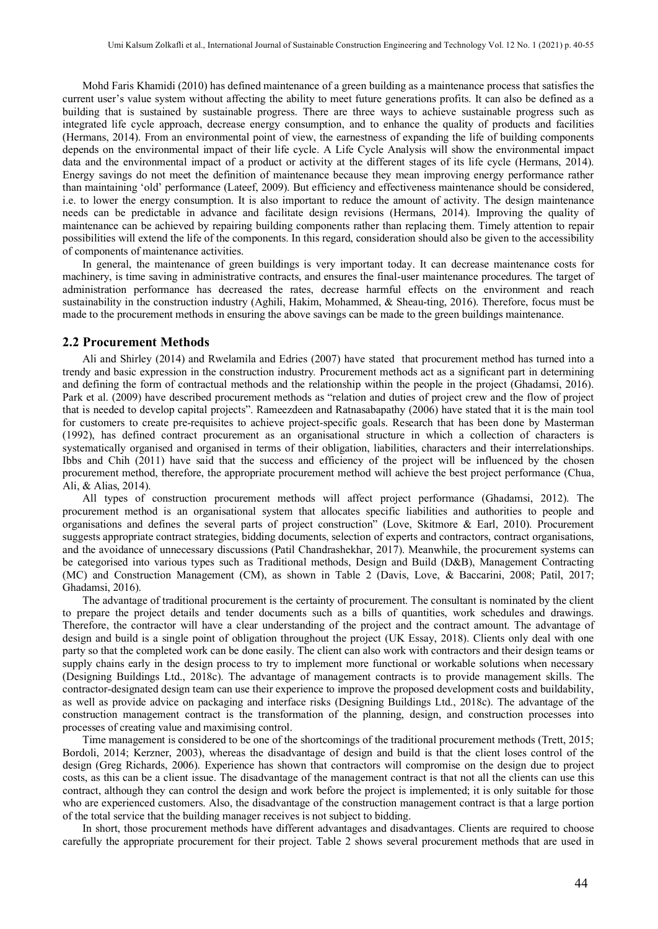Mohd Faris Khamidi (2010) has defined maintenance of a green building as a maintenance process that satisfies the current user's value system without affecting the ability to meet future generations profits. It can also be defined as a building that is sustained by sustainable progress. There are three ways to achieve sustainable progress such as integrated life cycle approach, decrease energy consumption, and to enhance the quality of products and facilities (Hermans, 2014). From an environmental point of view, the earnestness of expanding the life of building components depends on the environmental impact of their life cycle. A Life Cycle Analysis will show the environmental impact data and the environmental impact of a product or activity at the different stages of its life cycle (Hermans, 2014). Energy savings do not meet the definition of maintenance because they mean improving energy performance rather than maintaining 'old' performance (Lateef, 2009). But efficiency and effectiveness maintenance should be considered, i.e. to lower the energy consumption. It is also important to reduce the amount of activity. The design maintenance needs can be predictable in advance and facilitate design revisions (Hermans, 2014). Improving the quality of maintenance can be achieved by repairing building components rather than replacing them. Timely attention to repair possibilities will extend the life of the components. In this regard, consideration should also be given to the accessibility of components of maintenance activities.

In general, the maintenance of green buildings is very important today. It can decrease maintenance costs for machinery, is time saving in administrative contracts, and ensures the final-user maintenance procedures. The target of administration performance has decreased the rates, decrease harmful effects on the environment and reach sustainability in the construction industry (Aghili, Hakim, Mohammed, & Sheau-ting, 2016). Therefore, focus must be made to the procurement methods in ensuring the above savings can be made to the green buildings maintenance.

#### **2.2 Procurement Methods**

Ali and Shirley (2014) and Rwelamila and Edries (2007) have stated that procurement method has turned into a trendy and basic expression in the construction industry*.* Procurement methods act as a significant part in determining and defining the form of contractual methods and the relationship within the people in the project (Ghadamsi, 2016). Park et al. (2009) have described procurement methods as "relation and duties of project crew and the flow of project that is needed to develop capital projects". Rameezdeen and Ratnasabapathy (2006) have stated that it is the main tool for customers to create pre-requisites to achieve project-specific goals. Research that has been done by Masterman (1992), has defined contract procurement as an organisational structure in which a collection of characters is systematically organised and organised in terms of their obligation, liabilities, characters and their interrelationships. Ibbs and Chih (2011) have said that the success and efficiency of the project will be influenced by the chosen procurement method, therefore, the appropriate procurement method will achieve the best project performance (Chua, Ali, & Alias, 2014).

All types of construction procurement methods will affect project performance (Ghadamsi, 2012). The procurement method is an organisational system that allocates specific liabilities and authorities to people and organisations and defines the several parts of project construction" (Love, Skitmore & Earl, 2010). Procurement suggests appropriate contract strategies, bidding documents, selection of experts and contractors, contract organisations, and the avoidance of unnecessary discussions (Patil Chandrashekhar, 2017). Meanwhile, the procurement systems can be categorised into various types such as Traditional methods, Design and Build (D&B), Management Contracting (MC) and Construction Management (CM), as shown in Table 2 (Davis, Love, & Baccarini, 2008; Patil, 2017; Ghadamsi, 2016).

The advantage of traditional procurement is the certainty of procurement. The consultant is nominated by the client to prepare the project details and tender documents such as a bills of quantities, work schedules and drawings. Therefore, the contractor will have a clear understanding of the project and the contract amount. The advantage of design and build is a single point of obligation throughout the project (UK Essay, 2018). Clients only deal with one party so that the completed work can be done easily. The client can also work with contractors and their design teams or supply chains early in the design process to try to implement more functional or workable solutions when necessary (Designing Buildings Ltd., 2018c). The advantage of management contracts is to provide management skills. The contractor-designated design team can use their experience to improve the proposed development costs and buildability, as well as provide advice on packaging and interface risks (Designing Buildings Ltd., 2018c). The advantage of the construction management contract is the transformation of the planning, design, and construction processes into processes of creating value and maximising control.

Time management is considered to be one of the shortcomings of the traditional procurement methods (Trett, 2015; Bordoli, 2014; Kerzner, 2003), whereas the disadvantage of design and build is that the client loses control of the design (Greg Richards, 2006). Experience has shown that contractors will compromise on the design due to project costs, as this can be a client issue. The disadvantage of the management contract is that not all the clients can use this contract, although they can control the design and work before the project is implemented; it is only suitable for those who are experienced customers. Also, the disadvantage of the construction management contract is that a large portion of the total service that the building manager receives is not subject to bidding.

In short, those procurement methods have different advantages and disadvantages. Clients are required to choose carefully the appropriate procurement for their project. Table 2 shows several procurement methods that are used in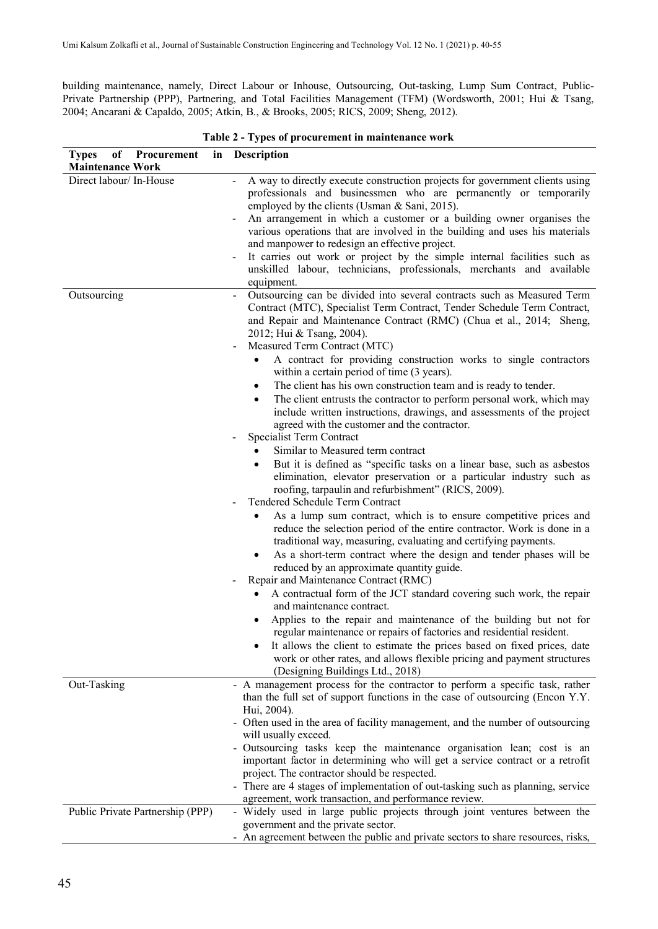building maintenance, namely, Direct Labour or Inhouse, Outsourcing, Out-tasking, Lump Sum Contract, Public-Private Partnership (PPP), Partnering, and Total Facilities Management (TFM) (Wordsworth, 2001; Hui & Tsang, 2004; Ancarani & Capaldo, 2005; Atkin, B., & Brooks, 2005; RICS, 2009; Sheng, 2012).

| of Procurement in Description<br><b>Types</b><br><b>Maintenance Work</b> |                                                                                                                                                                                                                                                                                                                                                                                                                                                                                                                                                                                                                                                                                                                                                                                                                                                                                                                                                                                                                                                                                                                                                                                                                                                                                                                                                                                                                                                                                                                                                                                                                                                                                                                                                                                                                                                               |
|--------------------------------------------------------------------------|---------------------------------------------------------------------------------------------------------------------------------------------------------------------------------------------------------------------------------------------------------------------------------------------------------------------------------------------------------------------------------------------------------------------------------------------------------------------------------------------------------------------------------------------------------------------------------------------------------------------------------------------------------------------------------------------------------------------------------------------------------------------------------------------------------------------------------------------------------------------------------------------------------------------------------------------------------------------------------------------------------------------------------------------------------------------------------------------------------------------------------------------------------------------------------------------------------------------------------------------------------------------------------------------------------------------------------------------------------------------------------------------------------------------------------------------------------------------------------------------------------------------------------------------------------------------------------------------------------------------------------------------------------------------------------------------------------------------------------------------------------------------------------------------------------------------------------------------------------------|
| Direct labour/ In-House                                                  | A way to directly execute construction projects for government clients using<br>professionals and businessmen who are permanently or temporarily<br>employed by the clients (Usman & Sani, 2015).<br>An arrangement in which a customer or a building owner organises the<br>various operations that are involved in the building and uses his materials<br>and manpower to redesign an effective project.<br>It carries out work or project by the simple internal facilities such as<br>unskilled labour, technicians, professionals, merchants and available<br>equipment.                                                                                                                                                                                                                                                                                                                                                                                                                                                                                                                                                                                                                                                                                                                                                                                                                                                                                                                                                                                                                                                                                                                                                                                                                                                                                 |
| Outsourcing                                                              | Outsourcing can be divided into several contracts such as Measured Term<br>Contract (MTC), Specialist Term Contract, Tender Schedule Term Contract,<br>and Repair and Maintenance Contract (RMC) (Chua et al., 2014; Sheng,<br>2012; Hui & Tsang, 2004).<br>Measured Term Contract (MTC)<br>A contract for providing construction works to single contractors<br>$\bullet$<br>within a certain period of time (3 years).<br>The client has his own construction team and is ready to tender.<br>٠<br>The client entrusts the contractor to perform personal work, which may<br>include written instructions, drawings, and assessments of the project<br>agreed with the customer and the contractor.<br>Specialist Term Contract<br>Similar to Measured term contract<br>But it is defined as "specific tasks on a linear base, such as asbestos<br>$\bullet$<br>elimination, elevator preservation or a particular industry such as<br>roofing, tarpaulin and refurbishment" (RICS, 2009).<br>Tendered Schedule Term Contract<br>As a lump sum contract, which is to ensure competitive prices and<br>reduce the selection period of the entire contractor. Work is done in a<br>traditional way, measuring, evaluating and certifying payments.<br>As a short-term contract where the design and tender phases will be<br>reduced by an approximate quantity guide.<br>Repair and Maintenance Contract (RMC)<br>A contractual form of the JCT standard covering such work, the repair<br>and maintenance contract.<br>Applies to the repair and maintenance of the building but not for<br>regular maintenance or repairs of factories and residential resident.<br>It allows the client to estimate the prices based on fixed prices, date<br>work or other rates, and allows flexible pricing and payment structures<br>(Designing Buildings Ltd., 2018) |
| Out-Tasking                                                              | - A management process for the contractor to perform a specific task, rather<br>than the full set of support functions in the case of outsourcing (Encon Y.Y.<br>Hui, 2004).<br>- Often used in the area of facility management, and the number of outsourcing<br>will usually exceed.<br>- Outsourcing tasks keep the maintenance organisation lean; cost is an<br>important factor in determining who will get a service contract or a retrofit<br>project. The contractor should be respected.<br>- There are 4 stages of implementation of out-tasking such as planning, service<br>agreement, work transaction, and performance review.                                                                                                                                                                                                                                                                                                                                                                                                                                                                                                                                                                                                                                                                                                                                                                                                                                                                                                                                                                                                                                                                                                                                                                                                                  |
| Public Private Partnership (PPP)                                         | - Widely used in large public projects through joint ventures between the<br>government and the private sector.<br>- An agreement between the public and private sectors to share resources, risks,                                                                                                                                                                                                                                                                                                                                                                                                                                                                                                                                                                                                                                                                                                                                                                                                                                                                                                                                                                                                                                                                                                                                                                                                                                                                                                                                                                                                                                                                                                                                                                                                                                                           |

**Table 2 - Types of procurement in maintenance work**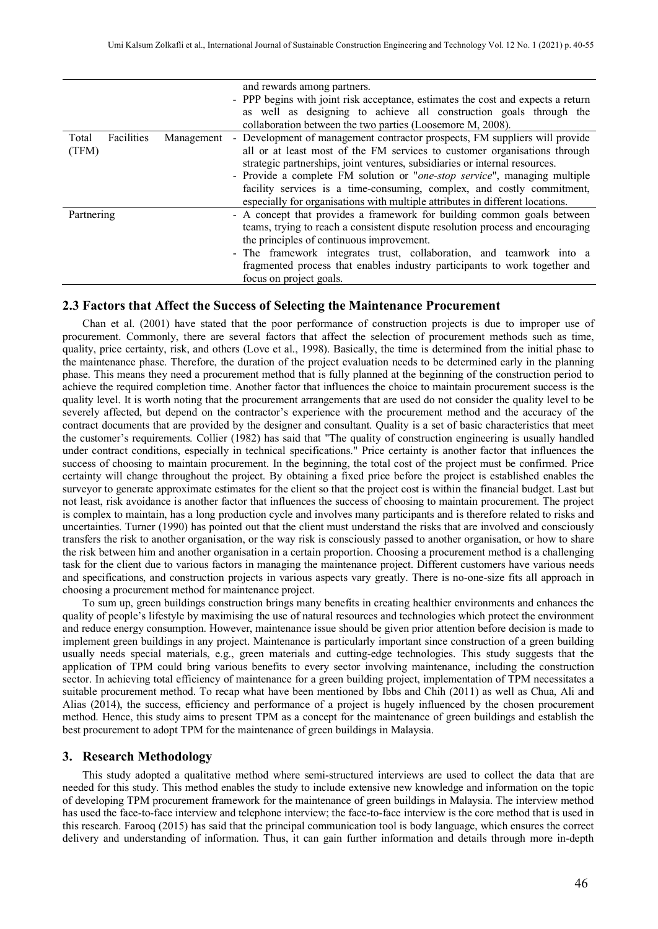|                     |            | and rewards among partners.                                                      |
|---------------------|------------|----------------------------------------------------------------------------------|
|                     |            | - PPP begins with joint risk acceptance, estimates the cost and expects a return |
|                     |            | as well as designing to achieve all construction goals through the               |
|                     |            | collaboration between the two parties (Loosemore M, 2008).                       |
| Facilities<br>Total | Management | - Development of management contractor prospects, FM suppliers will provide      |
| (TFM)               |            | all or at least most of the FM services to customer organisations through        |
|                     |            | strategic partnerships, joint ventures, subsidiaries or internal resources.      |
|                     |            | - Provide a complete FM solution or "one-stop service", managing multiple        |
|                     |            | facility services is a time-consuming, complex, and costly commitment,           |
|                     |            | especially for organisations with multiple attributes in different locations.    |
| Partnering          |            | - A concept that provides a framework for building common goals between          |
|                     |            | teams, trying to reach a consistent dispute resolution process and encouraging   |
|                     |            | the principles of continuous improvement.                                        |
|                     |            | - The framework integrates trust, collaboration, and teamwork into a             |
|                     |            | fragmented process that enables industry participants to work together and       |
|                     |            | focus on project goals.                                                          |

#### **2.3 Factors that Affect the Success of Selecting the Maintenance Procurement**

Chan et al. (2001) have stated that the poor performance of construction projects is due to improper use of procurement. Commonly, there are several factors that affect the selection of procurement methods such as time, quality, price certainty, risk, and others (Love et al., 1998). Basically, the time is determined from the initial phase to the maintenance phase. Therefore, the duration of the project evaluation needs to be determined early in the planning phase. This means they need a procurement method that is fully planned at the beginning of the construction period to achieve the required completion time. Another factor that influences the choice to maintain procurement success is the quality level. It is worth noting that the procurement arrangements that are used do not consider the quality level to be severely affected, but depend on the contractor's experience with the procurement method and the accuracy of the contract documents that are provided by the designer and consultant. Quality is a set of basic characteristics that meet the customer's requirements. Collier (1982) has said that "The quality of construction engineering is usually handled under contract conditions, especially in technical specifications." Price certainty is another factor that influences the success of choosing to maintain procurement. In the beginning, the total cost of the project must be confirmed. Price certainty will change throughout the project. By obtaining a fixed price before the project is established enables the surveyor to generate approximate estimates for the client so that the project cost is within the financial budget. Last but not least, risk avoidance is another factor that influences the success of choosing to maintain procurement. The project is complex to maintain, has a long production cycle and involves many participants and is therefore related to risks and uncertainties. Turner (1990) has pointed out that the client must understand the risks that are involved and consciously transfers the risk to another organisation, or the way risk is consciously passed to another organisation, or how to share the risk between him and another organisation in a certain proportion. Choosing a procurement method is a challenging task for the client due to various factors in managing the maintenance project. Different customers have various needs and specifications, and construction projects in various aspects vary greatly. There is no-one-size fits all approach in choosing a procurement method for maintenance project.

To sum up, green buildings construction brings many benefits in creating healthier environments and enhances the quality of people's lifestyle by maximising the use of natural resources and technologies which protect the environment and reduce energy consumption. However, maintenance issue should be given prior attention before decision is made to implement green buildings in any project. Maintenance is particularly important since construction of a green building usually needs special materials, e.g., green materials and cutting-edge technologies. This study suggests that the application of TPM could bring various benefits to every sector involving maintenance, including the construction sector. In achieving total efficiency of maintenance for a green building project, implementation of TPM necessitates a suitable procurement method. To recap what have been mentioned by Ibbs and Chih (2011) as well as Chua, Ali and Alias (2014), the success, efficiency and performance of a project is hugely influenced by the chosen procurement method. Hence, this study aims to present TPM as a concept for the maintenance of green buildings and establish the best procurement to adopt TPM for the maintenance of green buildings in Malaysia.

# **3. Research Methodology**

This study adopted a qualitative method where semi-structured interviews are used to collect the data that are needed for this study. This method enables the study to include extensive new knowledge and information on the topic of developing TPM procurement framework for the maintenance of green buildings in Malaysia. The interview method has used the face-to-face interview and telephone interview; the face-to-face interview is the core method that is used in this research. Farooq (2015) has said that the principal communication tool is body language, which ensures the correct delivery and understanding of information. Thus, it can gain further information and details through more in-depth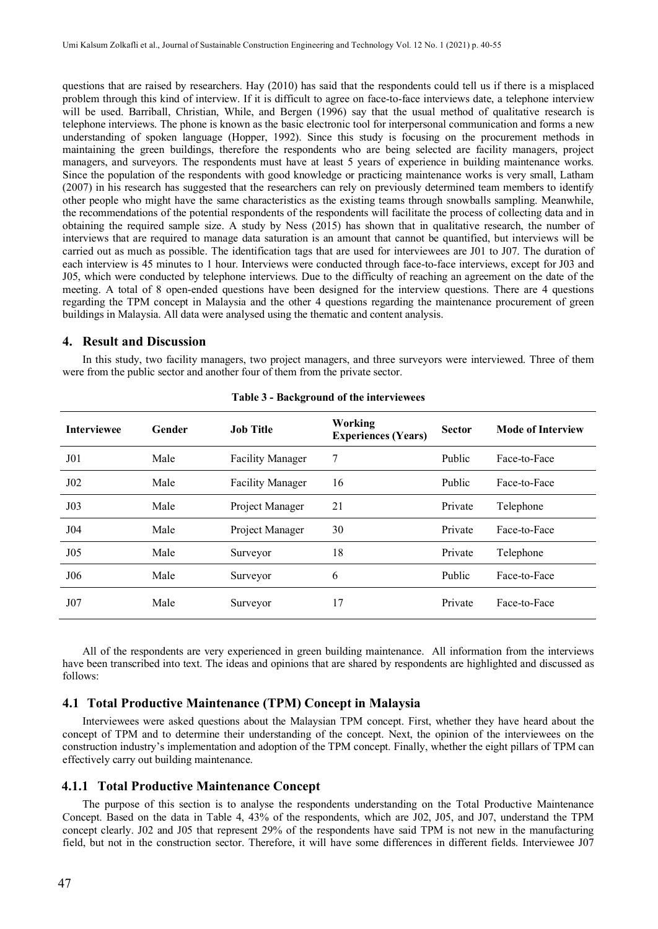questions that are raised by researchers. Hay (2010) has said that the respondents could tell us if there is a misplaced problem through this kind of interview. If it is difficult to agree on face-to-face interviews date, a telephone interview will be used. Barriball, Christian, While, and Bergen (1996) say that the usual method of qualitative research is telephone interviews. The phone is known as the basic electronic tool for interpersonal communication and forms a new understanding of spoken language (Hopper, 1992). Since this study is focusing on the procurement methods in maintaining the green buildings, therefore the respondents who are being selected are facility managers, project managers, and surveyors. The respondents must have at least 5 years of experience in building maintenance works. Since the population of the respondents with good knowledge or practicing maintenance works is very small, Latham (2007) in his research has suggested that the researchers can rely on previously determined team members to identify other people who might have the same characteristics as the existing teams through snowballs sampling. Meanwhile, the recommendations of the potential respondents of the respondents will facilitate the process of collecting data and in obtaining the required sample size. A study by Ness (2015) has shown that in qualitative research, the number of interviews that are required to manage data saturation is an amount that cannot be quantified, but interviews will be carried out as much as possible. The identification tags that are used for interviewees are J01 to J07. The duration of each interview is 45 minutes to 1 hour. Interviews were conducted through face-to-face interviews, except for J03 and J05, which were conducted by telephone interviews. Due to the difficulty of reaching an agreement on the date of the meeting. A total of 8 open-ended questions have been designed for the interview questions. There are 4 questions regarding the TPM concept in Malaysia and the other 4 questions regarding the maintenance procurement of green buildings in Malaysia. All data were analysed using the thematic and content analysis.

# **4. Result and Discussion**

In this study, two facility managers, two project managers, and three surveyors were interviewed. Three of them were from the public sector and another four of them from the private sector.

| <b>Interviewee</b> | Gender | <b>Job Title</b>        | Working<br><b>Experiences (Years)</b> | <b>Sector</b> | <b>Mode of Interview</b> |
|--------------------|--------|-------------------------|---------------------------------------|---------------|--------------------------|
| J <sub>0</sub> 1   | Male   | <b>Facility Manager</b> | 7                                     | Public        | Face-to-Face             |
| $J_{02}$           | Male   | <b>Facility Manager</b> | 16                                    | Public        | Face-to-Face             |
| J <sub>03</sub>    | Male   | Project Manager         | 21                                    | Private       | Telephone                |
| J04                | Male   | Project Manager         | 30                                    | Private       | Face-to-Face             |
| J <sub>05</sub>    | Male   | Surveyor                | 18                                    | Private       | Telephone                |
| J06                | Male   | Surveyor                | 6                                     | Public        | Face-to-Face             |
| J07                | Male   | Surveyor                | 17                                    | Private       | Face-to-Face             |

| Table 3 - Background of the interviewees |  |  |
|------------------------------------------|--|--|
|------------------------------------------|--|--|

All of the respondents are very experienced in green building maintenance. All information from the interviews have been transcribed into text. The ideas and opinions that are shared by respondents are highlighted and discussed as follows:

# **4.1 Total Productive Maintenance (TPM) Concept in Malaysia**

Interviewees were asked questions about the Malaysian TPM concept. First, whether they have heard about the concept of TPM and to determine their understanding of the concept. Next, the opinion of the interviewees on the construction industry's implementation and adoption of the TPM concept. Finally, whether the eight pillars of TPM can effectively carry out building maintenance.

# **4.1.1 Total Productive Maintenance Concept**

The purpose of this section is to analyse the respondents understanding on the Total Productive Maintenance Concept. Based on the data in Table 4, 43% of the respondents, which are J02, J05, and J07, understand the TPM concept clearly. J02 and J05 that represent 29% of the respondents have said TPM is not new in the manufacturing field, but not in the construction sector. Therefore, it will have some differences in different fields. Interviewee J07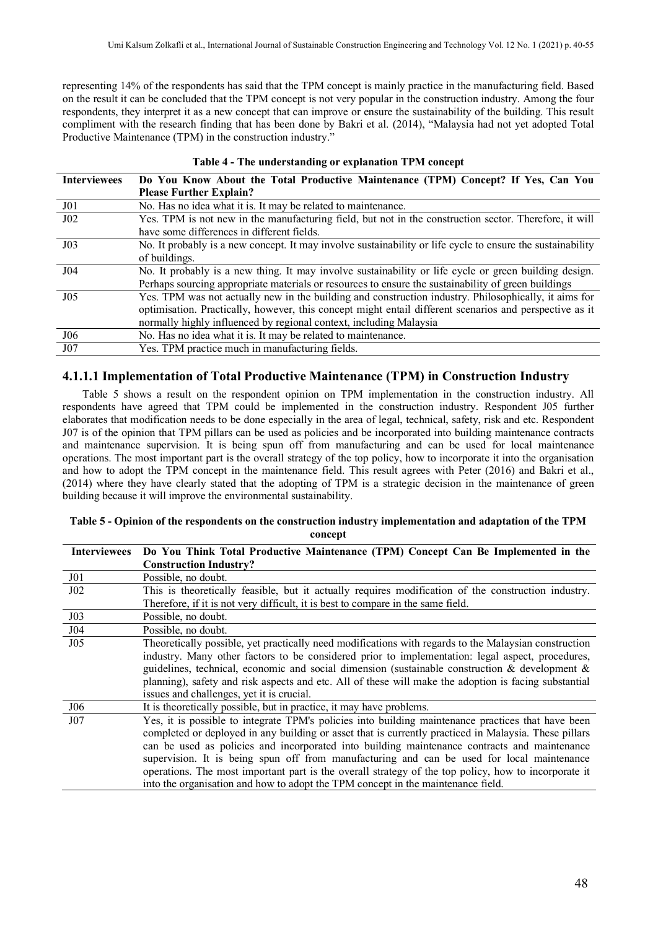representing 14% of the respondents has said that the TPM concept is mainly practice in the manufacturing field. Based on the result it can be concluded that the TPM concept is not very popular in the construction industry. Among the four respondents, they interpret it as a new concept that can improve or ensure the sustainability of the building. This result compliment with the research finding that has been done by Bakri et al. (2014), "Malaysia had not yet adopted Total Productive Maintenance (TPM) in the construction industry."

| <b>Interviewees</b> | Do You Know About the Total Productive Maintenance (TPM) Concept? If Yes, Can You<br><b>Please Further Explain?</b>                                                                                                                                                                    |
|---------------------|----------------------------------------------------------------------------------------------------------------------------------------------------------------------------------------------------------------------------------------------------------------------------------------|
| J01                 | No. Has no idea what it is. It may be related to maintenance.                                                                                                                                                                                                                          |
| $J_{02}$            | Yes. TPM is not new in the manufacturing field, but not in the construction sector. Therefore, it will<br>have some differences in different fields.                                                                                                                                   |
| J <sub>03</sub>     | No. It probably is a new concept. It may involve sustainability or life cycle to ensure the sustainability<br>of buildings.                                                                                                                                                            |
| J <sub>04</sub>     | No. It probably is a new thing. It may involve sustainability or life cycle or green building design.<br>Perhaps sourcing appropriate materials or resources to ensure the sustainability of green buildings                                                                           |
| J05                 | Yes. TPM was not actually new in the building and construction industry. Philosophically, it aims for<br>optimisation. Practically, however, this concept might entail different scenarios and perspective as it<br>normally highly influenced by regional context, including Malaysia |
| J06                 | No. Has no idea what it is. It may be related to maintenance.                                                                                                                                                                                                                          |
| J07                 | Yes. TPM practice much in manufacturing fields.                                                                                                                                                                                                                                        |

#### **Table 4 - The understanding or explanation TPM concept**

# **4.1.1.1 Implementation of Total Productive Maintenance (TPM) in Construction Industry**

Table 5 shows a result on the respondent opinion on TPM implementation in the construction industry. All respondents have agreed that TPM could be implemented in the construction industry. Respondent J05 further elaborates that modification needs to be done especially in the area of legal, technical, safety, risk and etc. Respondent J07 is of the opinion that TPM pillars can be used as policies and be incorporated into building maintenance contracts and maintenance supervision. It is being spun off from manufacturing and can be used for local maintenance operations. The most important part is the overall strategy of the top policy, how to incorporate it into the organisation and how to adopt the TPM concept in the maintenance field. This result agrees with Peter (2016) and Bakri et al., (2014) where they have clearly stated that the adopting of TPM is a strategic decision in the maintenance of green building because it will improve the environmental sustainability.

#### **Table 5 - Opinion of the respondents on the construction industry implementation and adaptation of the TPM concept**

| <b>Interviewees</b> | Do You Think Total Productive Maintenance (TPM) Concept Can Be Implemented in the                     |  |  |  |
|---------------------|-------------------------------------------------------------------------------------------------------|--|--|--|
|                     | <b>Construction Industry?</b>                                                                         |  |  |  |
| J01                 | Possible, no doubt.                                                                                   |  |  |  |
| J02                 | This is theoretically feasible, but it actually requires modification of the construction industry.   |  |  |  |
|                     | Therefore, if it is not very difficult, it is best to compare in the same field.                      |  |  |  |
| J03                 | Possible, no doubt.                                                                                   |  |  |  |
| J04                 | Possible, no doubt.                                                                                   |  |  |  |
| J <sub>05</sub>     | Theoretically possible, yet practically need modifications with regards to the Malaysian construction |  |  |  |
|                     | industry. Many other factors to be considered prior to implementation: legal aspect, procedures,      |  |  |  |
|                     | guidelines, technical, economic and social dimension (sustainable construction & development $\&$     |  |  |  |
|                     | planning), safety and risk aspects and etc. All of these will make the adoption is facing substantial |  |  |  |
|                     | issues and challenges, yet it is crucial.                                                             |  |  |  |
| J06                 | It is theoretically possible, but in practice, it may have problems.                                  |  |  |  |
| J07                 | Yes, it is possible to integrate TPM's policies into building maintenance practices that have been    |  |  |  |
|                     | completed or deployed in any building or asset that is currently practiced in Malaysia. These pillars |  |  |  |
|                     | can be used as policies and incorporated into building maintenance contracts and maintenance          |  |  |  |
|                     | supervision. It is being spun off from manufacturing and can be used for local maintenance            |  |  |  |
|                     | operations. The most important part is the overall strategy of the top policy, how to incorporate it  |  |  |  |
|                     | into the organisation and how to adopt the TPM concept in the maintenance field.                      |  |  |  |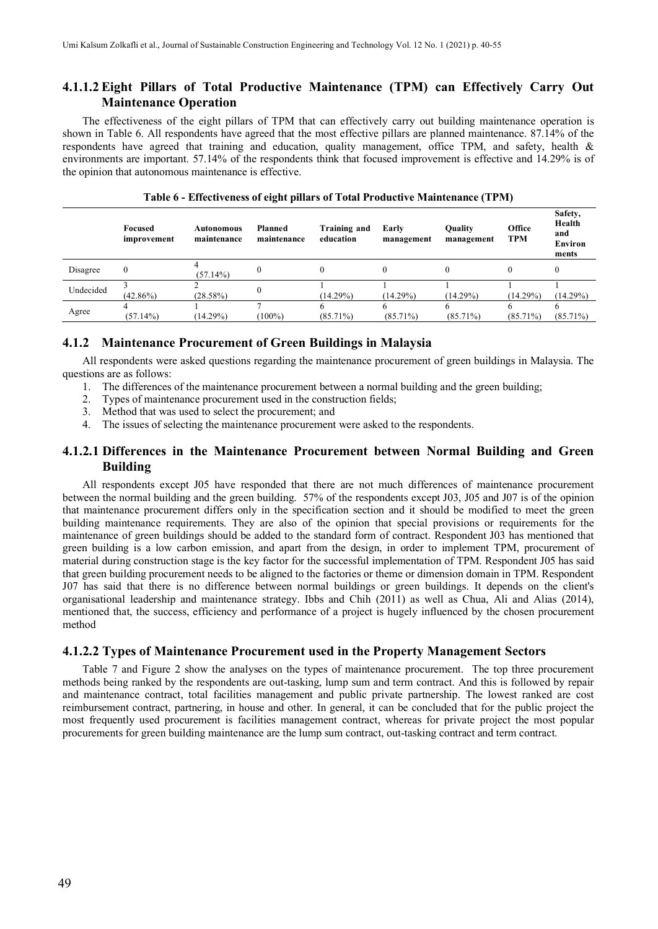# **4.1.1.2 Eight Pillars of Total Productive Maintenance (TPM) can Effectively Carry Out Maintenance Operation**

The effectiveness of the eight pillars of TPM that can effectively carry out building maintenance operation is shown in Table 6. All respondents have agreed that the most effective pillars are planned maintenance. 87.14% of the respondents have agreed that training and education, quality management, office TPM, and safety, health & environments are important. 57.14% of the respondents think that focused improvement is effective and 14.29% is of the opinion that autonomous maintenance is effective.

|           | Focused<br>improvement | Autonomous<br>maintenance | Planned<br>maintenance | Training and<br>education | Early<br>management | <b>Ouality</b><br>management | Office<br><b>TPM</b> | Safety,<br>Health<br>and<br><b>Environ</b><br>ments |
|-----------|------------------------|---------------------------|------------------------|---------------------------|---------------------|------------------------------|----------------------|-----------------------------------------------------|
| Disagree  | $\mathbf{0}$           | (57.14%)                  |                        | 0                         |                     |                              |                      |                                                     |
| Undecided | $(42.86\%)$            | (28.58%)                  |                        | $(14.29\%)$               | (14.29%)            | $(14.29\%)$                  | $(14.29\%)$          | (14.29%)                                            |
| Agree     | (57.14%)               | $(14.29\%)$               | $100\%$                | o<br>$(85.71\%)$          | $(85.71\%)$         | $(85.71\%)$                  | $(85.71\%)$          | $(85.71\%)$                                         |

|  |  |  |  |  |  |  | Table 6 - Effectiveness of eight pillars of Total Productive Maintenance (TPM) |  |
|--|--|--|--|--|--|--|--------------------------------------------------------------------------------|--|
|--|--|--|--|--|--|--|--------------------------------------------------------------------------------|--|

# **4.1.2 Maintenance Procurement of Green Buildings in Malaysia**

All respondents were asked questions regarding the maintenance procurement of green buildings in Malaysia. The questions are as follows:

- 1. The differences of the maintenance procurement between a normal building and the green building;
- 2. Types of maintenance procurement used in the construction fields;
- 3. Method that was used to select the procurement; and
- 4. The issues of selecting the maintenance procurement were asked to the respondents.

# **4.1.2.1 Differences in the Maintenance Procurement between Normal Building and Green Building**

All respondents except J05 have responded that there are not much differences of maintenance procurement between the normal building and the green building. 57% of the respondents except J03, J05 and J07 is of the opinion that maintenance procurement differs only in the specification section and it should be modified to meet the green building maintenance requirements. They are also of the opinion that special provisions or requirements for the maintenance of green buildings should be added to the standard form of contract. Respondent J03 has mentioned that green building is a low carbon emission, and apart from the design, in order to implement TPM, procurement of material during construction stage is the key factor for the successful implementation of TPM. Respondent J05 has said that green building procurement needs to be aligned to the factories or theme or dimension domain in TPM. Respondent J07 has said that there is no difference between normal buildings or green buildings. It depends on the client's organisational leadership and maintenance strategy. Ibbs and Chih (2011) as well as Chua, Ali and Alias (2014), mentioned that, the success, efficiency and performance of a project is hugely influenced by the chosen procurement method

# **4.1.2.2 Types of Maintenance Procurement used in the Property Management Sectors**

Table 7 and Figure 2 show the analyses on the types of maintenance procurement. The top three procurement methods being ranked by the respondents are out-tasking, lump sum and term contract. And this is followed by repair and maintenance contract, total facilities management and public private partnership. The lowest ranked are cost reimbursement contract, partnering, in house and other. In general, it can be concluded that for the public project the most frequently used procurement is facilities management contract, whereas for private project the most popular procurements for green building maintenance are the lump sum contract, out-tasking contract and term contract.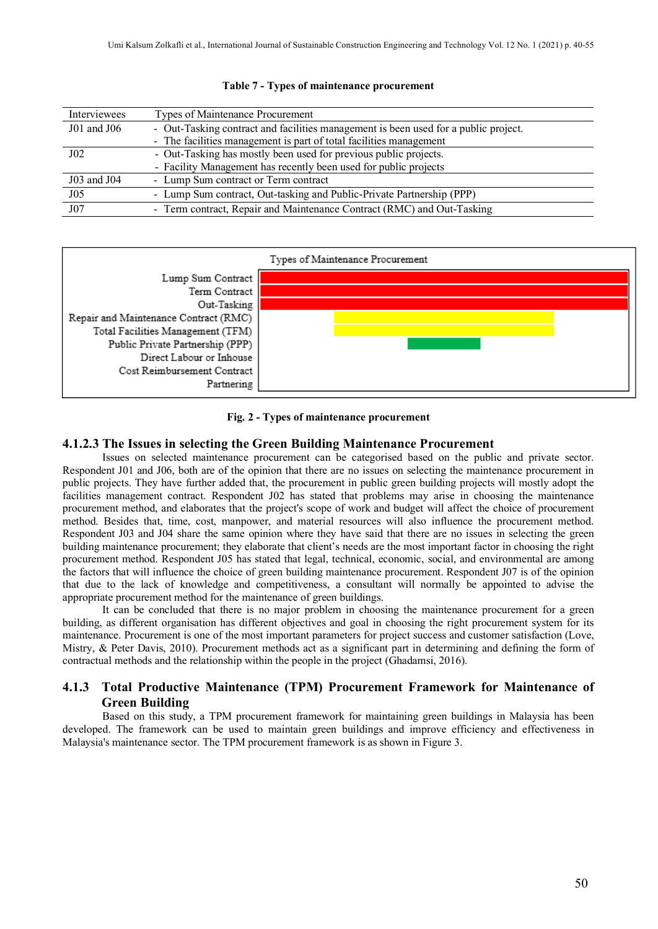| Interviewees    | Types of Maintenance Procurement                                                    |  |  |  |
|-----------------|-------------------------------------------------------------------------------------|--|--|--|
| $J01$ and $J06$ | - Out-Tasking contract and facilities management is been used for a public project. |  |  |  |
|                 | - The facilities management is part of total facilities management                  |  |  |  |
| J(0)            | - Out-Tasking has mostly been used for previous public projects.                    |  |  |  |
|                 | - Facility Management has recently been used for public projects                    |  |  |  |
| J03 and J04     | - Lump Sum contract or Term contract                                                |  |  |  |
| J <sub>05</sub> | - Lump Sum contract, Out-tasking and Public-Private Partnership (PPP)               |  |  |  |
| J <sub>07</sub> | - Term contract, Repair and Maintenance Contract (RMC) and Out-Tasking              |  |  |  |

#### **Table 7 - Types of maintenance procurement**



#### **Fig. 2 - Types of maintenance procurement**

#### **4.1.2.3 The Issues in selecting the Green Building Maintenance Procurement**

Issues on selected maintenance procurement can be categorised based on the public and private sector. Respondent J01 and J06, both are of the opinion that there are no issues on selecting the maintenance procurement in public projects. They have further added that, the procurement in public green building projects will mostly adopt the facilities management contract. Respondent J02 has stated that problems may arise in choosing the maintenance procurement method, and elaborates that the project's scope of work and budget will affect the choice of procurement method. Besides that, time, cost, manpower, and material resources will also influence the procurement method. Respondent J03 and J04 share the same opinion where they have said that there are no issues in selecting the green building maintenance procurement; they elaborate that client's needs are the most important factor in choosing the right procurement method. Respondent J05 has stated that legal, technical, economic, social, and environmental are among the factors that will influence the choice of green building maintenance procurement. Respondent J07 is of the opinion that due to the lack of knowledge and competitiveness, a consultant will normally be appointed to advise the appropriate procurement method for the maintenance of green buildings.

It can be concluded that there is no major problem in choosing the maintenance procurement for a green building, as different organisation has different objectives and goal in choosing the right procurement system for its maintenance. Procurement is one of the most important parameters for project success and customer satisfaction (Love, Mistry, & Peter Davis, 2010). Procurement methods act as a significant part in determining and defining the form of contractual methods and the relationship within the people in the project (Ghadamsi, 2016).

# **4.1.3 Total Productive Maintenance (TPM) Procurement Framework for Maintenance of Green Building**

Based on this study, a TPM procurement framework for maintaining green buildings in Malaysia has been developed. The framework can be used to maintain green buildings and improve efficiency and effectiveness in Malaysia's maintenance sector. The TPM procurement framework is as shown in Figure 3.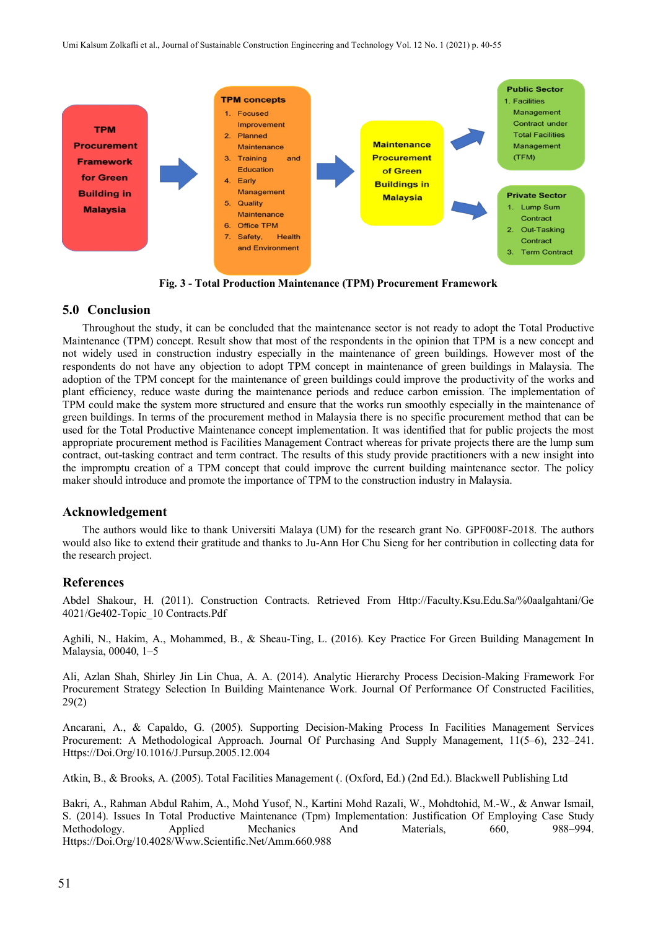

**Fig. 3 - Total Production Maintenance (TPM) Procurement Framework**

# **5.0 Conclusion**

Throughout the study, it can be concluded that the maintenance sector is not ready to adopt the Total Productive Maintenance (TPM) concept. Result show that most of the respondents in the opinion that TPM is a new concept and not widely used in construction industry especially in the maintenance of green buildings. However most of the respondents do not have any objection to adopt TPM concept in maintenance of green buildings in Malaysia. The adoption of the TPM concept for the maintenance of green buildings could improve the productivity of the works and plant efficiency, reduce waste during the maintenance periods and reduce carbon emission. The implementation of TPM could make the system more structured and ensure that the works run smoothly especially in the maintenance of green buildings. In terms of the procurement method in Malaysia there is no specific procurement method that can be used for the Total Productive Maintenance concept implementation. It was identified that for public projects the most appropriate procurement method is Facilities Management Contract whereas for private projects there are the lump sum contract, out-tasking contract and term contract. The results of this study provide practitioners with a new insight into the impromptu creation of a TPM concept that could improve the current building maintenance sector. The policy maker should introduce and promote the importance of TPM to the construction industry in Malaysia.

#### **Acknowledgement**

The authors would like to thank Universiti Malaya (UM) for the research grant No. GPF008F-2018. The authors would also like to extend their gratitude and thanks to Ju-Ann Hor Chu Sieng for her contribution in collecting data for the research project.

# **References**

Abdel Shakour, H. (2011). Construction Contracts. Retrieved From Http://Faculty.Ksu.Edu.Sa/%0aalgahtani/Ge 4021/Ge402-Topic\_10 Contracts.Pdf

Aghili, N., Hakim, A., Mohammed, B., & Sheau-Ting, L. (2016). Key Practice For Green Building Management In Malaysia, 00040, 1–5

Ali, Azlan Shah, Shirley Jin Lin Chua, A. A. (2014). Analytic Hierarchy Process Decision-Making Framework For Procurement Strategy Selection In Building Maintenance Work. Journal Of Performance Of Constructed Facilities, 29(2)

Ancarani, A., & Capaldo, G. (2005). Supporting Decision-Making Process In Facilities Management Services Procurement: A Methodological Approach. Journal Of Purchasing And Supply Management, 11(5–6), 232–241. Https://Doi.Org/10.1016/J.Pursup.2005.12.004

Atkin, B., & Brooks, A. (2005). Total Facilities Management (. (Oxford, Ed.) (2nd Ed.). Blackwell Publishing Ltd

Bakri, A., Rahman Abdul Rahim, A., Mohd Yusof, N., Kartini Mohd Razali, W., Mohdtohid, M.-W., & Anwar Ismail, S. (2014). Issues In Total Productive Maintenance (Tpm) Implementation: Justification Of Employing Case Study Methodology. Applied Mechanics And Materials, 660, 988–994. Https://Doi.Org/10.4028/Www.Scientific.Net/Amm.660.988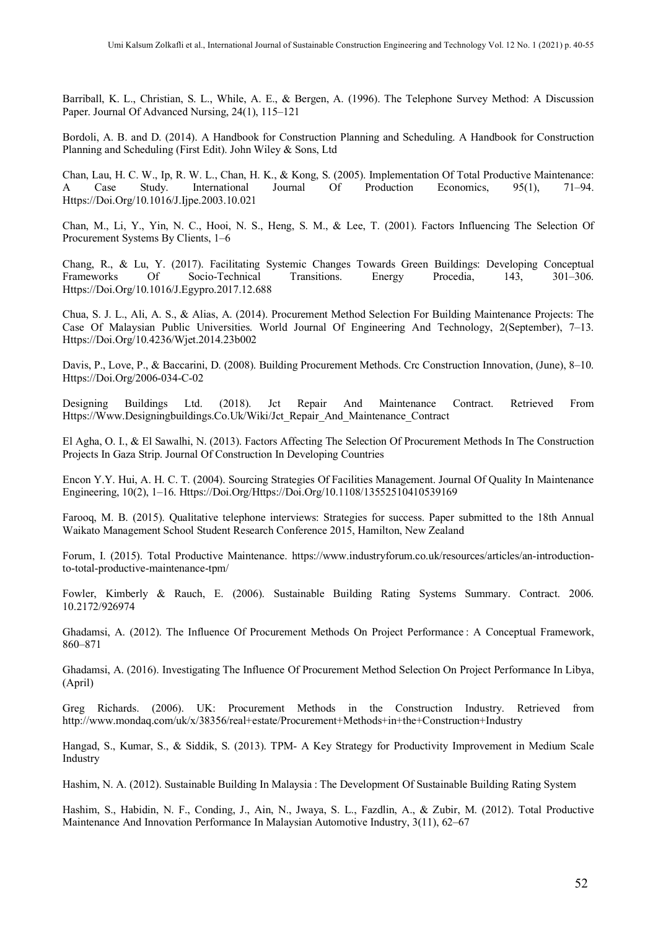Barriball, K. L., Christian, S. L., While, A. E., & Bergen, A. (1996). The Telephone Survey Method: A Discussion Paper. Journal Of Advanced Nursing, 24(1), 115–121

Bordoli, A. B. and D. (2014). A Handbook for Construction Planning and Scheduling. A Handbook for Construction Planning and Scheduling (First Edit). John Wiley & Sons, Ltd

Chan, Lau, H. C. W., Ip, R. W. L., Chan, H. K., & Kong, S. (2005). Implementation Of Total Productive Maintenance: A Case Study. International Journal Of Production Economics, 95(1), Https://Doi.Org/10.1016/J.Ijpe.2003.10.021

Chan, M., Li, Y., Yin, N. C., Hooi, N. S., Heng, S. M., & Lee, T. (2001). Factors Influencing The Selection Of Procurement Systems By Clients, 1–6

Chang, R., & Lu, Y. (2017). Facilitating Systemic Changes Towards Green Buildings: Developing Conceptual Frameworks Of Socio-Technical Transitions. Energy Procedia, 143, 301–306. Https://Doi.Org/10.1016/J.Egypro.2017.12.688

Chua, S. J. L., Ali, A. S., & Alias, A. (2014). Procurement Method Selection For Building Maintenance Projects: The Case Of Malaysian Public Universities. World Journal Of Engineering And Technology, 2(September), 7–13. Https://Doi.Org/10.4236/Wjet.2014.23b002

Davis, P., Love, P., & Baccarini, D. (2008). Building Procurement Methods. Crc Construction Innovation, (June), 8–10. Https://Doi.Org/2006-034-C-02

Designing Buildings Ltd. (2018). Jct Repair And Maintenance Contract. Retrieved From Https://Www.Designingbuildings.Co.Uk/Wiki/Jct\_Repair\_And\_Maintenance\_Contract

El Agha, O. I., & El Sawalhi, N. (2013). Factors Affecting The Selection Of Procurement Methods In The Construction Projects In Gaza Strip. Journal Of Construction In Developing Countries

Encon Y.Y. Hui, A. H. C. T. (2004). Sourcing Strategies Of Facilities Management. Journal Of Quality In Maintenance Engineering, 10(2), 1–16. Https://Doi.Org/Https://Doi.Org/10.1108/13552510410539169

Farooq, M. B. (2015). Qualitative telephone interviews: Strategies for success. Paper submitted to the 18th Annual Waikato Management School Student Research Conference 2015, Hamilton, New Zealand

Forum, I. (2015). Total Productive Maintenance. https://www.industryforum.co.uk/resources/articles/an-introductionto-total-productive-maintenance-tpm/

Fowler, Kimberly & Rauch, E. (2006). Sustainable Building Rating Systems Summary. Contract. 2006. 10.2172/926974

Ghadamsi, A. (2012). The Influence Of Procurement Methods On Project Performance : A Conceptual Framework, 860–871

Ghadamsi, A. (2016). Investigating The Influence Of Procurement Method Selection On Project Performance In Libya, (April)

Greg Richards. (2006). UK: Procurement Methods in the Construction Industry. Retrieved from http://www.mondaq.com/uk/x/38356/real+estate/Procurement+Methods+in+the+Construction+Industry

Hangad, S., Kumar, S., & Siddik, S. (2013). TPM- A Key Strategy for Productivity Improvement in Medium Scale Industry

Hashim, N. A. (2012). Sustainable Building In Malaysia : The Development Of Sustainable Building Rating System

Hashim, S., Habidin, N. F., Conding, J., Ain, N., Jwaya, S. L., Fazdlin, A., & Zubir, M. (2012). Total Productive Maintenance And Innovation Performance In Malaysian Automotive Industry, 3(11), 62–67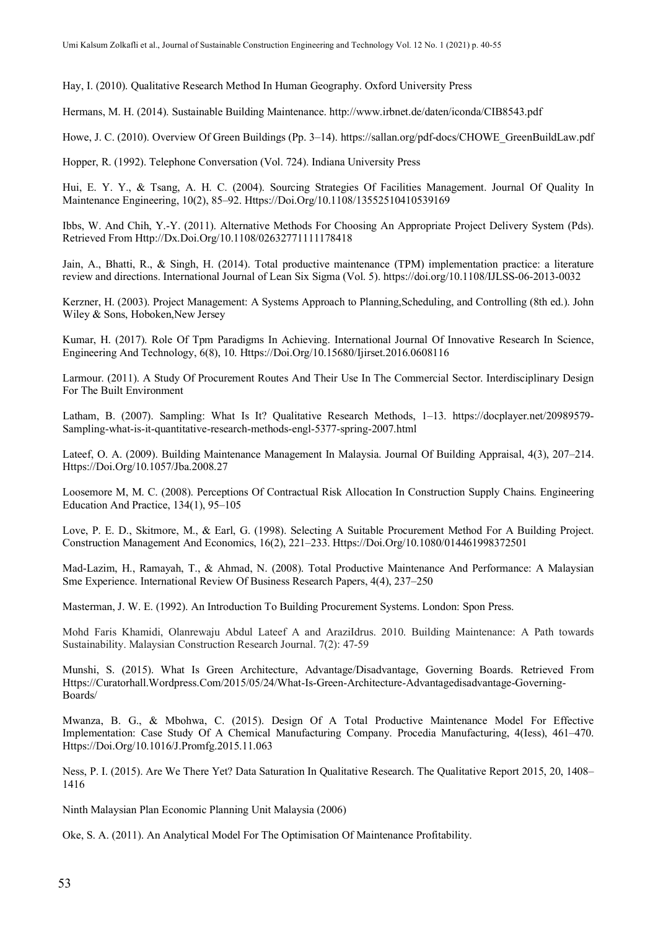Hay, I. (2010). Qualitative Research Method In Human Geography. Oxford University Press

Hermans, M. H. (2014). Sustainable Building Maintenance. http://www.irbnet.de/daten/iconda/CIB8543.pdf

Howe, J. C. (2010). Overview Of Green Buildings (Pp. 3–14). https://sallan.org/pdf-docs/CHOWE\_GreenBuildLaw.pdf

Hopper, R. (1992). Telephone Conversation (Vol. 724). Indiana University Press

Hui, E. Y. Y., & Tsang, A. H. C. (2004). Sourcing Strategies Of Facilities Management. Journal Of Quality In Maintenance Engineering, 10(2), 85–92. Https://Doi.Org/10.1108/13552510410539169

Ibbs, W. And Chih, Y.-Y. (2011). Alternative Methods For Choosing An Appropriate Project Delivery System (Pds). Retrieved From Http://Dx.Doi.Org/10.1108/02632771111178418

Jain, A., Bhatti, R., & Singh, H. (2014). Total productive maintenance (TPM) implementation practice: a literature review and directions. International Journal of Lean Six Sigma (Vol. 5). https://doi.org/10.1108/IJLSS-06-2013-0032

Kerzner, H. (2003). Project Management: A Systems Approach to Planning,Scheduling, and Controlling (8th ed.). John Wiley & Sons, Hoboken,New Jersey

Kumar, H. (2017). Role Of Tpm Paradigms In Achieving. International Journal Of Innovative Research In Science, Engineering And Technology, 6(8), 10. Https://Doi.Org/10.15680/Ijirset.2016.0608116

Larmour. (2011). A Study Of Procurement Routes And Their Use In The Commercial Sector. Interdisciplinary Design For The Built Environment

Latham, B. (2007). Sampling: What Is It? Qualitative Research Methods, 1–13. https://docplayer.net/20989579- Sampling-what-is-it-quantitative-research-methods-engl-5377-spring-2007.html

Lateef, O. A. (2009). Building Maintenance Management In Malaysia. Journal Of Building Appraisal, 4(3), 207–214. Https://Doi.Org/10.1057/Jba.2008.27

Loosemore M, M. C. (2008). Perceptions Of Contractual Risk Allocation In Construction Supply Chains. Engineering Education And Practice, 134(1), 95–105

Love, P. E. D., Skitmore, M., & Earl, G. (1998). Selecting A Suitable Procurement Method For A Building Project. Construction Management And Economics, 16(2), 221–233. Https://Doi.Org/10.1080/014461998372501

Mad-Lazim, H., Ramayah, T., & Ahmad, N. (2008). Total Productive Maintenance And Performance: A Malaysian Sme Experience. International Review Of Business Research Papers, 4(4), 237–250

Masterman, J. W. E. (1992). An Introduction To Building Procurement Systems. London: Spon Press.

Mohd Faris Khamidi, Olanrewaju Abdul Lateef A and AraziIdrus. 2010. Building Maintenance: A Path towards Sustainability. Malaysian Construction Research Journal. 7(2): 47-59

Munshi, S. (2015). What Is Green Architecture, Advantage/Disadvantage, Governing Boards. Retrieved From Https://Curatorhall.Wordpress.Com/2015/05/24/What-Is-Green-Architecture-Advantagedisadvantage-Governing-Boards/

Mwanza, B. G., & Mbohwa, C. (2015). Design Of A Total Productive Maintenance Model For Effective Implementation: Case Study Of A Chemical Manufacturing Company. Procedia Manufacturing, 4(Iess), 461–470. Https://Doi.Org/10.1016/J.Promfg.2015.11.063

Ness, P. I. (2015). Are We There Yet? Data Saturation In Qualitative Research. The Qualitative Report 2015, 20, 1408– 1416

Ninth Malaysian Plan Economic Planning Unit Malaysia (2006)

Oke, S. A. (2011). An Analytical Model For The Optimisation Of Maintenance Profitability.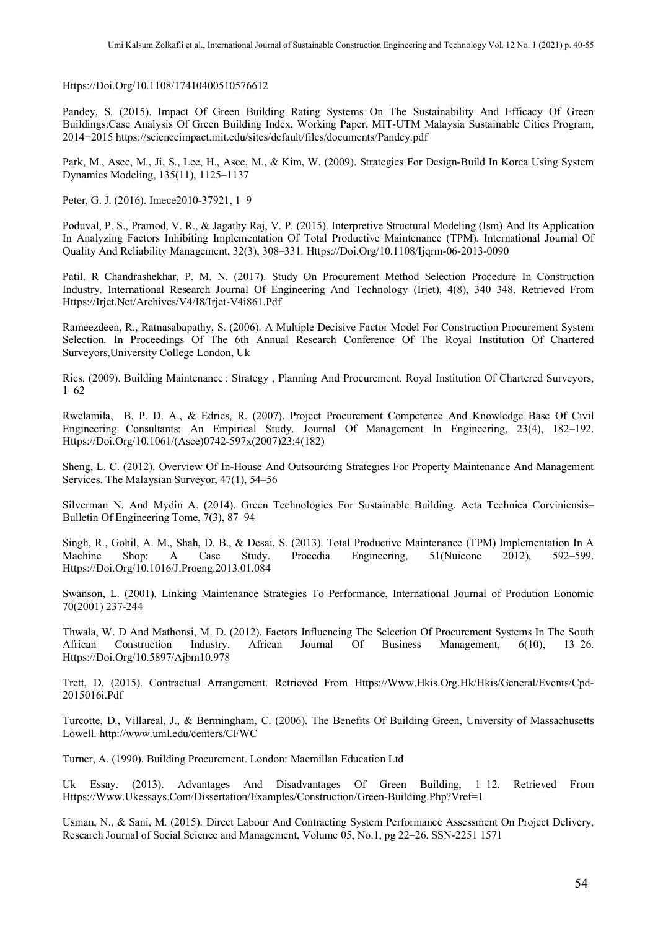Https://Doi.Org/10.1108/17410400510576612

Pandey, S. (2015). Impact Of Green Building Rating Systems On The Sustainability And Efficacy Of Green Buildings:Case Analysis Of Green Building Index, Working Paper, MIT-UTM Malaysia Sustainable Cities Program, 2014−2015 https://scienceimpact.mit.edu/sites/default/files/documents/Pandey.pdf

Park, M., Asce, M., Ji, S., Lee, H., Asce, M., & Kim, W. (2009). Strategies For Design-Build In Korea Using System Dynamics Modeling, 135(11), 1125–1137

Peter, G. J. (2016). Imece2010-37921, 1–9

Poduval, P. S., Pramod, V. R., & Jagathy Raj, V. P. (2015). Interpretive Structural Modeling (Ism) And Its Application In Analyzing Factors Inhibiting Implementation Of Total Productive Maintenance (TPM). International Journal Of Quality And Reliability Management, 32(3), 308–331. Https://Doi.Org/10.1108/Ijqrm-06-2013-0090

Patil. R Chandrashekhar, P. M. N. (2017). Study On Procurement Method Selection Procedure In Construction Industry. International Research Journal Of Engineering And Technology (Irjet), 4(8), 340–348. Retrieved From Https://Irjet.Net/Archives/V4/I8/Irjet-V4i861.Pdf

Rameezdeen, R., Ratnasabapathy, S. (2006). A Multiple Decisive Factor Model For Construction Procurement System Selection. In Proceedings Of The 6th Annual Research Conference Of The Royal Institution Of Chartered Surveyors,University College London, Uk

Rics. (2009). Building Maintenance : Strategy , Planning And Procurement. Royal Institution Of Chartered Surveyors, 1–62

Rwelamila, B. P. D. A., & Edries, R. (2007). Project Procurement Competence And Knowledge Base Of Civil Engineering Consultants: An Empirical Study. Journal Of Management In Engineering, 23(4), 182–192. Https://Doi.Org/10.1061/(Asce)0742-597x(2007)23:4(182)

Sheng, L. C. (2012). Overview Of In-House And Outsourcing Strategies For Property Maintenance And Management Services. The Malaysian Surveyor, 47(1), 54–56

Silverman N. And Mydin A. (2014). Green Technologies For Sustainable Building. Acta Technica Corviniensis– Bulletin Of Engineering Tome, 7(3), 87–94

Singh, R., Gohil, A. M., Shah, D. B., & Desai, S. (2013). Total Productive Maintenance (TPM) Implementation In A Machine Shop: A Case Study. Procedia Engineering, 51(Nuicone 2012), 592–599. Https://Doi.Org/10.1016/J.Proeng.2013.01.084

Swanson, L. (2001). Linking Maintenance Strategies To Performance, International Journal of Prodution Eonomic 70(2001) 237-244

Thwala, W. D And Mathonsi, M. D. (2012). Factors Influencing The Selection Of Procurement Systems In The South African Construction Industry. African Journal Of Business Management, 6(10), 13–26. Https://Doi.Org/10.5897/Ajbm10.978

Trett, D. (2015). Contractual Arrangement. Retrieved From Https://Www.Hkis.Org.Hk/Hkis/General/Events/Cpd-2015016i.Pdf

Turcotte, D., Villareal, J., & Bermingham, C. (2006). The Benefits Of Building Green, University of Massachusetts Lowell. http://www.uml.edu/centers/CFWC

Turner, A. (1990). Building Procurement. London: Macmillan Education Ltd

Uk Essay. (2013). Advantages And Disadvantages Of Green Building, 1–12. Retrieved From Https://Www.Ukessays.Com/Dissertation/Examples/Construction/Green-Building.Php?Vref=1

Usman, N., & Sani, M. (2015). Direct Labour And Contracting System Performance Assessment On Project Delivery, Research Journal of Social Science and Management, Volume 05, No.1, pg 22–26. SSN-2251 1571